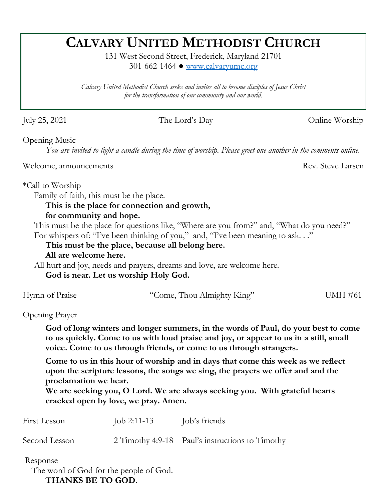# **CALVARY UNITED METHODIST CHURCH**

131 West Second Street, Frederick, Maryland 21701 301-662-1464 ● [www.calvaryumc.org](http://www.calvaryumc.org/)

*Calvary United Methodist Church seeks and invites all to become disciples of Jesus Christ for the transformation of our community and our world.* 

July 25, 2021 The Lord's Day Online Worship

Opening Music

*You are invited to light a candle during the time of worship. Please greet one another in the comments online.*

Welcome, announcements Rev. Steve Larsen

\*Call to Worship

Family of faith, this must be the place.

## **This is the place for connection and growth,**

#### **for community and hope.**

This must be the place for questions like, "Where are you from?" and, "What do you need?" For whispers of: "I've been thinking of you," and, "I've been meaning to ask. . ."

**This must be the place, because all belong here.** 

#### **All are welcome here.**

All hurt and joy, needs and prayers, dreams and love, are welcome here.

**God is near. Let us worship Holy God.** 

| Hymn of Praise<br>"Come, Thou Almighty King" | UMH #61 |
|----------------------------------------------|---------|
|----------------------------------------------|---------|

Opening Prayer

**God of long winters and longer summers, in the words of Paul, do your best to come to us quickly. Come to us with loud praise and joy, or appear to us in a still, small voice. Come to us through friends, or come to us through strangers.** 

**Come to us in this hour of worship and in days that come this week as we reflect upon the scripture lessons, the songs we sing, the prayers we offer and and the proclamation we hear.** 

**We are seeking you, O Lord. We are always seeking you. With grateful hearts cracked open by love, we pray. Amen.** 

| First Lesson  | Job 2:11-13 | Job's friends                                   |
|---------------|-------------|-------------------------------------------------|
| Second Lesson |             | 2 Timothy 4:9-18 Paul's instructions to Timothy |
| Response      |             |                                                 |

 The word of God for the people of God. **THANKS BE TO GOD.**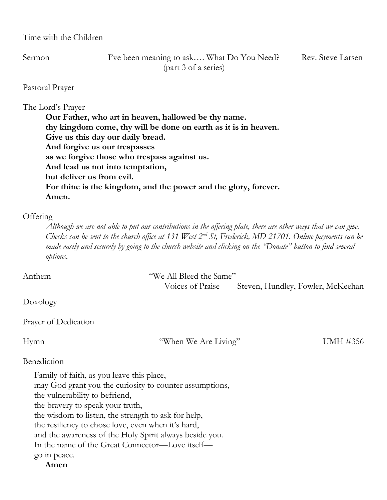Time with the Children

Sermon I've been meaning to ask.... What Do You Need? Rev. Steve Larsen (part 3 of a series)

Pastoral Prayer

#### The Lord's Prayer

**Our Father, who art in heaven, hallowed be thy name. thy kingdom come, thy will be done on earth as it is in heaven. Give us this day our daily bread. And forgive us our trespasses as we forgive those who trespass against us. And lead us not into temptation, but deliver us from evil. For thine is the kingdom, and the power and the glory, forever. Amen.**

#### **Offering**

*Although we are not able to put our contributions in the offering plate, there are other ways that we can give. Checks can be sent to the church office at 131 West 2nd St, Frederick, MD 21701. Online payments can be made easily and securely by going to the church website and clicking on the "Donate" button to find several options.* 

| Anthem                                                  | "We All Bleed the Same" |                                   |  |  |
|---------------------------------------------------------|-------------------------|-----------------------------------|--|--|
|                                                         | Voices of Praise        | Steven, Hundley, Fowler, McKeehan |  |  |
| Doxology                                                |                         |                                   |  |  |
| Prayer of Dedication                                    |                         |                                   |  |  |
| Hymn                                                    | "When We Are Living"    | UMH #356                          |  |  |
| Benediction                                             |                         |                                   |  |  |
| Family of faith, as you leave this place,               |                         |                                   |  |  |
| may God grant you the curiosity to counter assumptions, |                         |                                   |  |  |
| the vulnerability to befriend,                          |                         |                                   |  |  |
| the bravery to speak your truth,                        |                         |                                   |  |  |
| the wisdom to listen, the strength to ask for help,     |                         |                                   |  |  |
| the resiliency to chose love, even when it's hard,      |                         |                                   |  |  |
| and the awareness of the Holy Spirit always beside you. |                         |                                   |  |  |
| In the name of the Great Connector—Love itself—         |                         |                                   |  |  |
| go in peace.                                            |                         |                                   |  |  |
| Amen                                                    |                         |                                   |  |  |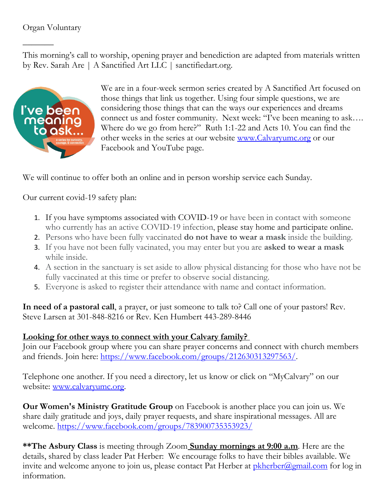$\overline{\phantom{a}}$ 

This morning's call to worship, opening prayer and benediction are adapted from materials written by Rev. Sarah Are | A Sanctified Art LLC | sanctifiedart.org.



We are in a four-week sermon series created by A Sanctified Art focused on those things that link us together. Using four simple questions, we are considering those things that can the ways our experiences and dreams connect us and foster community. Next week: "I've been meaning to ask…. Where do we go from here?" Ruth 1:1-22 and Acts 10. You can find the other weeks in the series at our website [www.Calvaryumc.org](http://www.calvaryumc.org/) or our Facebook and YouTube page.

We will continue to offer both an online and in person worship service each Sunday.

Our current covid-19 safety plan:

- 1. If you have symptoms associated with COVID-19 or have been in contact with someone who currently has an active COVID-19 infection, please stay home and participate online.
- 2. Persons who have been fully vaccinated **do not have to wear a mask** inside the building.
- 3. If you have not been fully vacinated, you may enter but you are **asked to wear a mask** while inside.
- 4. A section in the sanctuary is set aside to allow physical distancing for those who have not be fully vaccinated at this time or prefer to observe social distancing.
- 5. Everyone is asked to register their attendance with name and contact information.

**In need of a pastoral call**, a prayer, or just someone to talk to? Call one of your pastors! Rev. Steve Larsen at 301-848-8216 or Rev. Ken Humbert 443-289-8446

## **Looking for other ways to connect with your Calvary family?**

Join our Facebook group where you can share prayer concerns and connect with church members and friends. Join here: [https://www.facebook.com/groups/212630313297563/.](https://www.facebook.com/groups/212630313297563/)

Telephone one another. If you need a directory, let us know or click on "MyCalvary" on our website: [www.calvaryumc.org.](http://www.calvaryumc.org/)

**Our Women's Ministry Gratitude Group** on Facebook is another place you can join us. We share daily gratitude and joys, daily prayer requests, and share inspirational messages. All are welcome.<https://www.facebook.com/groups/783900735353923/>

**\*\*The Asbury Class** is meeting through Zoom **Sunday mornings at 9:00 a.m**. Here are the details, shared by class leader Pat Herber: We encourage folks to have their bibles available. We invite and welcome anyone to join us, please contact Pat Herber at  $\frac{pkherber(\mathcal{Q}gmail.com}{log}\$  for log in information.